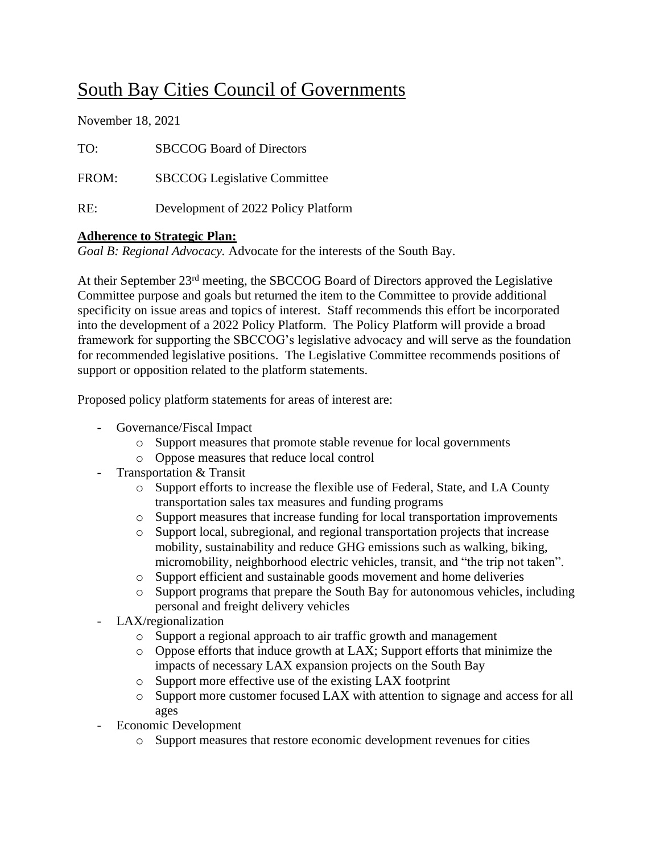## South Bay Cities Council of Governments

November 18, 2021

| TO:   | <b>SBCCOG Board of Directors</b>    |
|-------|-------------------------------------|
| FROM: | <b>SBCCOG</b> Legislative Committee |
| RE∶   | Development of 2022 Policy Platform |

## **Adherence to Strategic Plan:**

*Goal B: Regional Advocacy.* Advocate for the interests of the South Bay.

At their September 23rd meeting, the SBCCOG Board of Directors approved the Legislative Committee purpose and goals but returned the item to the Committee to provide additional specificity on issue areas and topics of interest. Staff recommends this effort be incorporated into the development of a 2022 Policy Platform. The Policy Platform will provide a broad framework for supporting the SBCCOG's legislative advocacy and will serve as the foundation for recommended legislative positions. The Legislative Committee recommends positions of support or opposition related to the platform statements.

Proposed policy platform statements for areas of interest are:

- Governance/Fiscal Impact
	- o Support measures that promote stable revenue for local governments
	- o Oppose measures that reduce local control
- Transportation & Transit
	- o Support efforts to increase the flexible use of Federal, State, and LA County transportation sales tax measures and funding programs
	- o Support measures that increase funding for local transportation improvements
	- o Support local, subregional, and regional transportation projects that increase mobility, sustainability and reduce GHG emissions such as walking, biking, micromobility, neighborhood electric vehicles, transit, and "the trip not taken".
	- o Support efficient and sustainable goods movement and home deliveries
	- o Support programs that prepare the South Bay for autonomous vehicles, including personal and freight delivery vehicles
- LAX/regionalization
	- o Support a regional approach to air traffic growth and management
	- o Oppose efforts that induce growth at LAX; Support efforts that minimize the impacts of necessary LAX expansion projects on the South Bay
	- o Support more effective use of the existing LAX footprint
	- o Support more customer focused LAX with attention to signage and access for all ages
- Economic Development
	- o Support measures that restore economic development revenues for cities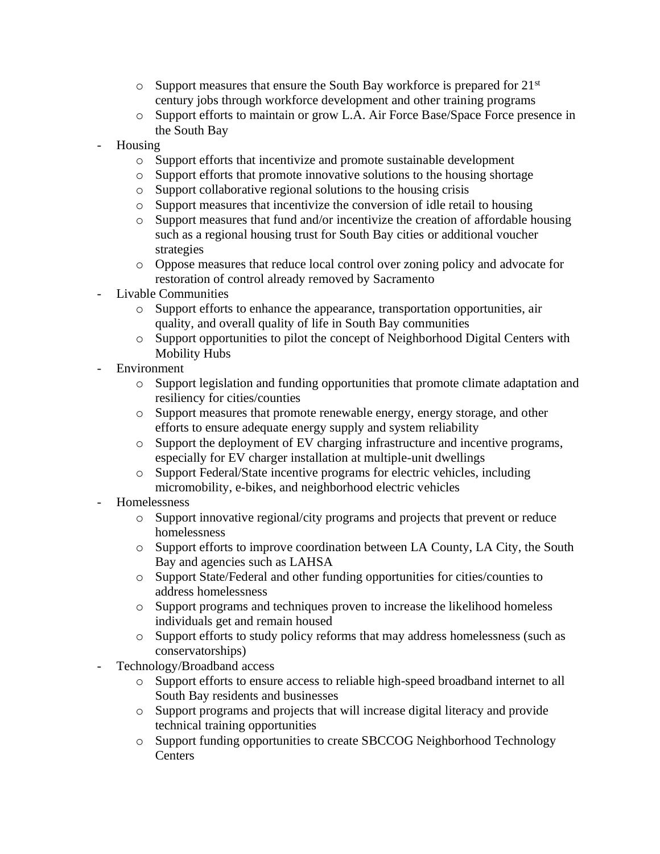- $\circ$  Support measures that ensure the South Bay workforce is prepared for 21<sup>st</sup> century jobs through workforce development and other training programs
- o Support efforts to maintain or grow L.A. Air Force Base/Space Force presence in the South Bay
- Housing
	- o Support efforts that incentivize and promote sustainable development
	- o Support efforts that promote innovative solutions to the housing shortage
	- o Support collaborative regional solutions to the housing crisis
	- o Support measures that incentivize the conversion of idle retail to housing
	- o Support measures that fund and/or incentivize the creation of affordable housing such as a regional housing trust for South Bay cities or additional voucher strategies
	- o Oppose measures that reduce local control over zoning policy and advocate for restoration of control already removed by Sacramento
- Livable Communities
	- o Support efforts to enhance the appearance, transportation opportunities, air quality, and overall quality of life in South Bay communities
	- o Support opportunities to pilot the concept of Neighborhood Digital Centers with Mobility Hubs
- Environment
	- o Support legislation and funding opportunities that promote climate adaptation and resiliency for cities/counties
	- o Support measures that promote renewable energy, energy storage, and other efforts to ensure adequate energy supply and system reliability
	- o Support the deployment of EV charging infrastructure and incentive programs, especially for EV charger installation at multiple-unit dwellings
	- o Support Federal/State incentive programs for electric vehicles, including micromobility, e-bikes, and neighborhood electric vehicles
- Homelessness
	- o Support innovative regional/city programs and projects that prevent or reduce homelessness
	- o Support efforts to improve coordination between LA County, LA City, the South Bay and agencies such as LAHSA
	- o Support State/Federal and other funding opportunities for cities/counties to address homelessness
	- o Support programs and techniques proven to increase the likelihood homeless individuals get and remain housed
	- o Support efforts to study policy reforms that may address homelessness (such as conservatorships)
- Technology/Broadband access
	- o Support efforts to ensure access to reliable high-speed broadband internet to all South Bay residents and businesses
	- o Support programs and projects that will increase digital literacy and provide technical training opportunities
	- o Support funding opportunities to create SBCCOG Neighborhood Technology **Centers**